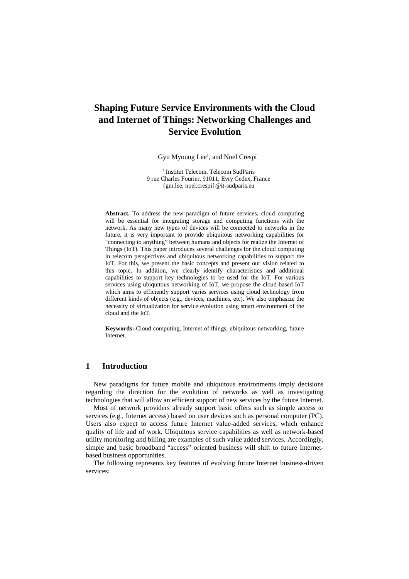# **Shaping Future Service Environments with the Cloud and Internet of Things: Networking Challenges and Service Evolution**

Gyu Myoung Lee<sup>1</sup>, and Noel Crespi<sup>1</sup>

<sup>1</sup> Institut Telecom, Telecom SudParis 9 rue Charles Fourier, 91011, Evry Cedex, France {gm.lee, noel.crespi}@it-sudparis.eu

**Abstract.** To address the new paradigm of future services, cloud computing will be essential for integrating storage and computing functions with the network. As many new types of devices will be connected to networks in the future, it is very important to provide ubiquitous networking capabilities for "connecting to anything" between humans and objects for realize the Internet of Things (IoT). This paper introduces several challenges for the cloud computing in telecom perspectives and ubiquitous networking capabilities to support the IoT. For this, we present the basic concepts and present our vision related to this topic. In addition, we clearly identify characteristics and additional capabilities to support key technologies to be used for the IoT. For various services using ubiquitous networking of IoT, we propose the cloud-based IoT which aims to efficiently support varies services using cloud technology from different kinds of objects (e.g., devices, machines, etc). We also emphasize the necessity of virtualization for service evolution using smart environment of the cloud and the IoT.

**Keywords:** Cloud computing, Internet of things, ubiquitous networking, future Internet.

# **1 Introduction**

New paradigms for future mobile and ubiquitous environments imply decisions regarding the direction for the evolution of networks as well as investigating technologies that will allow an efficient support of new services by the future Internet.

Most of network providers already support basic offers such as simple access to services (e.g., Internet access) based on user devices such as personal computer (PC). Users also expect to access future Internet value-added services, which enhance quality of life and of work. Ubiquitous service capabilities as well as network-based utility monitoring and billing are examples of such value added services. Accordingly, simple and basic broadband "access" oriented business will shift to future Internetbased business opportunities.

The following represents key features of evolving future Internet business-driven services: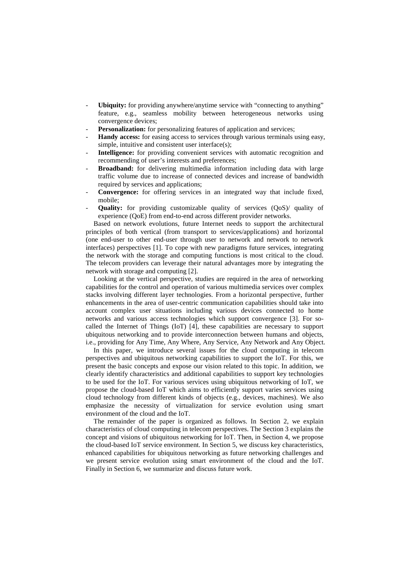- Ubiquity: for providing anywhere/anytime service with "connecting to anything" feature, e.g., seamless mobility between heterogeneous networks using convergence devices;
- **Personalization:** for personalizing features of application and services;
- **Handy access:** for easing access to services through various terminals using easy, simple, intuitive and consistent user interface(s);
- Intelligence: for providing convenient services with automatic recognition and recommending of user's interests and preferences;
- **Broadband:** for delivering multimedia information including data with large traffic volume due to increase of connected devices and increase of bandwidth required by services and applications;
- **Convergence:** for offering services in an integrated way that include fixed, mobile;
- **Quality:** for providing customizable quality of services (QoS)/ quality of experience (QoE) from end-to-end across different provider networks.

Based on network evolutions, future Internet needs to support the architectural principles of both vertical (from transport to services/applications) and horizontal (one end-user to other end-user through user to network and network to network interfaces) perspectives [1]. To cope with new paradigms future services, integrating the network with the storage and computing functions is most critical to the cloud. The telecom providers can leverage their natural advantages more by integrating the network with storage and computing [2].

Looking at the vertical perspective, studies are required in the area of networking capabilities for the control and operation of various multimedia services over complex stacks involving different layer technologies. From a horizontal perspective, further enhancements in the area of user-centric communication capabilities should take into account complex user situations including various devices connected to home networks and various access technologies which support convergence [3]. For socalled the Internet of Things (IoT) [4], these capabilities are necessary to support ubiquitous networking and to provide interconnection between humans and objects, i.e., providing for Any Time, Any Where, Any Service, Any Network and Any Object.

In this paper, we introduce several issues for the cloud computing in telecom perspectives and ubiquitous networking capabilities to support the IoT. For this, we present the basic concepts and expose our vision related to this topic. In addition, we clearly identify characteristics and additional capabilities to support key technologies to be used for the IoT. For various services using ubiquitous networking of IoT, we propose the cloud-based IoT which aims to efficiently support varies services using cloud technology from different kinds of objects (e.g., devices, machines). We also emphasize the necessity of virtualization for service evolution using smart environment of the cloud and the IoT.

The remainder of the paper is organized as follows. In Section 2, we explain characteristics of cloud computing in telecom perspectives. The Section 3 explains the concept and visions of ubiquitous networking for IoT. Then, in Section 4, we propose the cloud-based IoT service environment. In Section 5, we discuss key characteristics, enhanced capabilities for ubiquitous networking as future networking challenges and we present service evolution using smart environment of the cloud and the IoT. Finally in Section 6, we summarize and discuss future work.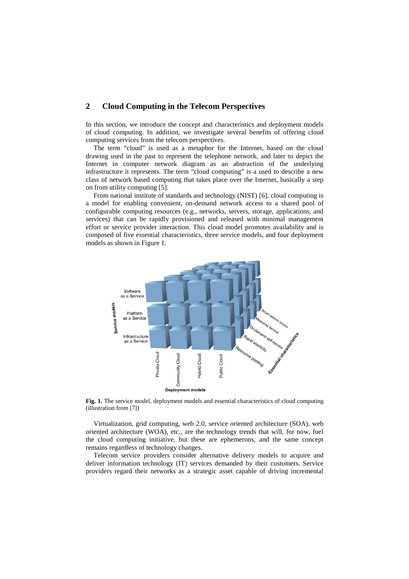# **2 Cloud Computing in the Telecom Perspectives**

In this section, we introduce the concept and characteristics and deployment models of cloud computing. In addition, we investigate several benefits of offering cloud computing services from the telecom perspectives.

The term "cloud" is used as a metaphor for the Internet, based on the cloud drawing used in the past to represent the telephone network, and later to depict the Internet in computer network diagram as an abstraction of the underlying infrastructure it represents. The term "cloud computing" is a used to describe a new class of network based computing that takes place over the Internet, basically a step on from utility computing [5].

From national institute of standards and technology (NIST) [6], cloud computing is a model for enabling convenient, on-demand network access to a shared pool of configurable computing resources (e.g., networks, servers, storage, applications, and services) that can be rapidly provisioned and released with minimal management effort or service provider interaction. This cloud model promotes availability and is composed of five essential characteristics, three service models, and four deployment models as shown in Figure 1.



Fig. 1. The service model, deployment models and essential characteristics of cloud computing (illustration from [7])

Virtualization, grid computing, web 2.0, service oriented architecture (SOA), web oriented architecture (WOA), etc., are the technology trends that will, for now, fuel the cloud computing initiative, but these are ephemerons, and the same concept remains regardless of technology changes.

Telecom service providers consider alternative delivery models to acquire and deliver information technology (IT) services demanded by their customers. Service providers regard their networks as a strategic asset capable of driving incremental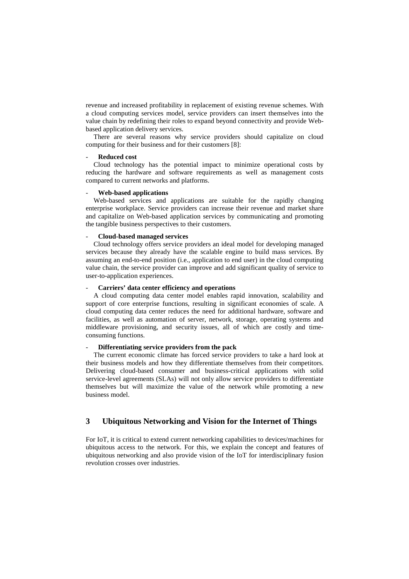revenue and increased profitability in replacement of existing revenue schemes. With a cloud computing services model, service providers can insert themselves into the value chain by redefining their roles to expand beyond connectivity and provide Webbased application delivery services.

There are several reasons why service providers should capitalize on cloud computing for their business and for their customers [8]:

#### - **Reduced cost**

Cloud technology has the potential impact to minimize operational costs by reducing the hardware and software requirements as well as management costs compared to current networks and platforms.

#### - **Web-based applications**

Web-based services and applications are suitable for the rapidly changing enterprise workplace. Service providers can increase their revenue and market share and capitalize on Web-based application services by communicating and promoting the tangible business perspectives to their customers.

#### - **Cloud-based managed services**

Cloud technology offers service providers an ideal model for developing managed services because they already have the scalable engine to build mass services. By assuming an end-to-end position (i.e., application to end user) in the cloud computing value chain, the service provider can improve and add significant quality of service to user-to-application experiences.

#### - **Carriers' data center efficiency and operations**

A cloud computing data center model enables rapid innovation, scalability and support of core enterprise functions, resulting in significant economies of scale. A cloud computing data center reduces the need for additional hardware, software and facilities, as well as automation of server, network, storage, operating systems and middleware provisioning, and security issues, all of which are costly and timeconsuming functions.

#### - **Differentiating service providers from the pack**

The current economic climate has forced service providers to take a hard look at their business models and how they differentiate themselves from their competitors. Delivering cloud-based consumer and business-critical applications with solid service-level agreements (SLAs) will not only allow service providers to differentiate themselves but will maximize the value of the network while promoting a new business model.

# **3 Ubiquitous Networking and Vision for the Internet of Things**

For IoT, it is critical to extend current networking capabilities to devices/machines for ubiquitous access to the network. For this, we explain the concept and features of ubiquitous networking and also provide vision of the IoT for interdisciplinary fusion revolution crosses over industries.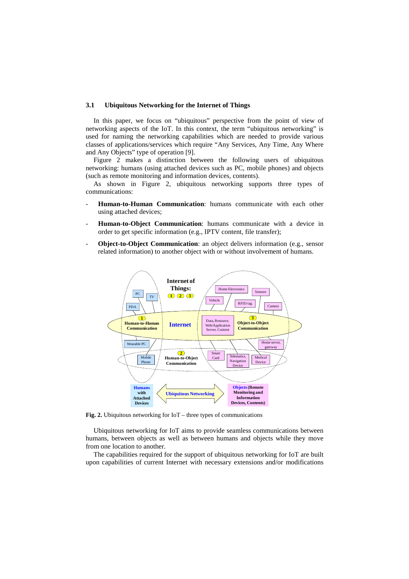# **3.1 Ubiquitous Networking for the Internet of Things**

In this paper, we focus on "ubiquitous" perspective from the point of view of networking aspects of the IoT. In this context, the term "ubiquitous networking" is used for naming the networking capabilities which are needed to provide various classes of applications/services which require "Any Services, Any Time, Any Where and Any Objects" type of operation [9].

Figure 2 makes a distinction between the following users of ubiquitous networking: humans (using attached devices such as PC, mobile phones) and objects (such as remote monitoring and information devices, contents).

As shown in Figure 2, ubiquitous networking supports three types of communications:

- **Human-to-Human Communication**: humans communicate with each other using attached devices;
- Human-to-Object Communication: humans communicate with a device in order to get specific information (e.g., IPTV content, file transfer);
- **Object-to-Object Communication**: an object delivers information (e.g., sensor related information) to another object with or without involvement of humans.



**Fig. 2.** Ubiquitous networking for IoT – three types of communications

Ubiquitous networking for IoT aims to provide seamless communications between humans, between objects as well as between humans and objects while they move from one location to another.

The capabilities required for the support of ubiquitous networking for IoT are built upon capabilities of current Internet with necessary extensions and/or modifications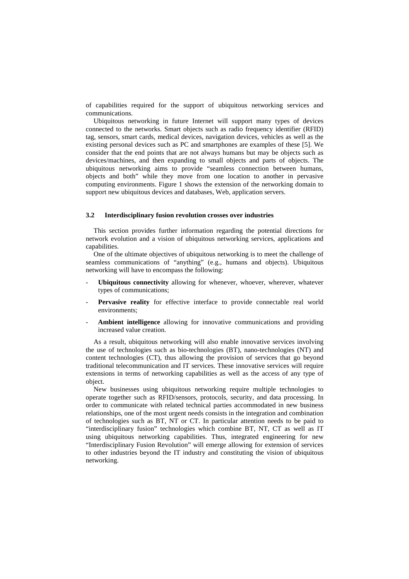of capabilities required for the support of ubiquitous networking services and communications.

Ubiquitous networking in future Internet will support many types of devices connected to the networks. Smart objects such as radio frequency identifier (RFID) tag, sensors, smart cards, medical devices, navigation devices, vehicles as well as the existing personal devices such as PC and smartphones are examples of these [5]. We consider that the end points that are not always humans but may be objects such as devices/machines, and then expanding to small objects and parts of objects. The ubiquitous networking aims to provide "seamless connection between humans, objects and both" while they move from one location to another in pervasive computing environments. Figure 1 shows the extension of the networking domain to support new ubiquitous devices and databases, Web, application servers.

# **3.2 Interdisciplinary fusion revolution crosses over industries**

This section provides further information regarding the potential directions for network evolution and a vision of ubiquitous networking services, applications and capabilities.

One of the ultimate objectives of ubiquitous networking is to meet the challenge of seamless communications of "anything" (e.g., humans and objects). Ubiquitous networking will have to encompass the following:

- **Ubiquitous connectivity** allowing for whenever, whoever, wherever, whatever types of communications;
- Pervasive reality for effective interface to provide connectable real world environments;
- **Ambient intelligence** allowing for innovative communications and providing increased value creation.

As a result, ubiquitous networking will also enable innovative services involving the use of technologies such as bio-technologies (BT), nano-technologies (NT) and content technologies (CT), thus allowing the provision of services that go beyond traditional telecommunication and IT services. These innovative services will require extensions in terms of networking capabilities as well as the access of any type of object.

New businesses using ubiquitous networking require multiple technologies to operate together such as RFID/sensors, protocols, security, and data processing. In order to communicate with related technical parties accommodated in new business relationships, one of the most urgent needs consists in the integration and combination of technologies such as BT, NT or CT. In particular attention needs to be paid to "interdisciplinary fusion" technologies which combine BT, NT, CT as well as IT using ubiquitous networking capabilities. Thus, integrated engineering for new "Interdisciplinary Fusion Revolution" will emerge allowing for extension of services to other industries beyond the IT industry and constituting the vision of ubiquitous networking.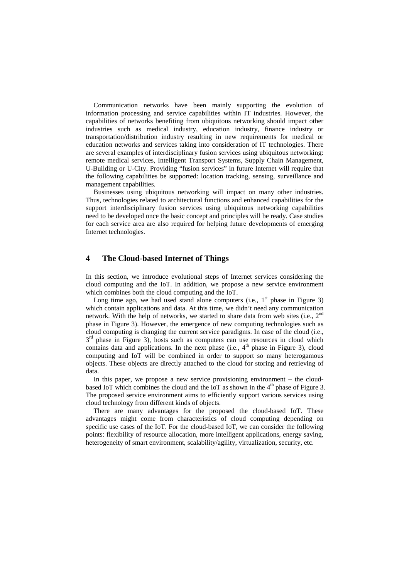Communication networks have been mainly supporting the evolution of information processing and service capabilities within IT industries. However, the capabilities of networks benefiting from ubiquitous networking should impact other industries such as medical industry, education industry, finance industry or transportation/distribution industry resulting in new requirements for medical or education networks and services taking into consideration of IT technologies. There are several examples of interdisciplinary fusion services using ubiquitous networking: remote medical services, Intelligent Transport Systems, Supply Chain Management, U-Building or U-City. Providing "fusion services" in future Internet will require that the following capabilities be supported: location tracking, sensing, surveillance and management capabilities.

Businesses using ubiquitous networking will impact on many other industries. Thus, technologies related to architectural functions and enhanced capabilities for the support interdisciplinary fusion services using ubiquitous networking capabilities need to be developed once the basic concept and principles will be ready. Case studies for each service area are also required for helping future developments of emerging Internet technologies.

# **4 The Cloud-based Internet of Things**

In this section, we introduce evolutional steps of Internet services considering the cloud computing and the IoT. In addition, we propose a new service environment which combines both the cloud computing and the IoT.

Long time ago, we had used stand alone computers (i.e.,  $1<sup>st</sup>$  phase in Figure 3) which contain applications and data. At this time, we didn't need any communication network. With the help of networks, we started to share data from web sites (i.e., 2<sup>nd</sup> phase in Figure 3). However, the emergence of new computing technologies such as cloud computing is changing the current service paradigms. In case of the cloud (i.e., 3<sup>rd</sup> phase in Figure 3), hosts such as computers can use resources in cloud which contains data and applications. In the next phase (i.e.,  $4<sup>th</sup>$  phase in Figure 3), cloud computing and IoT will be combined in order to support so many heterogamous objects. These objects are directly attached to the cloud for storing and retrieving of data.

In this paper, we propose a new service provisioning environment – the cloudbased IoT which combines the cloud and the IoT as shown in the  $4<sup>th</sup>$  phase of Figure 3. The proposed service environment aims to efficiently support various services using cloud technology from different kinds of objects.

There are many advantages for the proposed the cloud-based IoT. These advantages might come from characteristics of cloud computing depending on specific use cases of the IoT. For the cloud-based IoT, we can consider the following points: flexibility of resource allocation, more intelligent applications, energy saving, heterogeneity of smart environment, scalability/agility, virtualization, security, etc.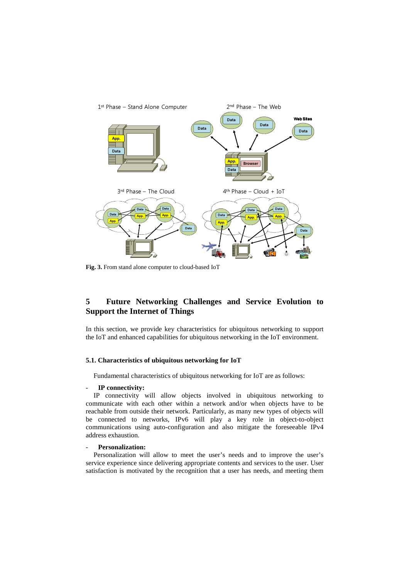

**Fig. 3.** From stand alone computer to cloud-based IoT

# **5 Future Networking Challenges and Service Evolution to Support the Internet of Things**

In this section, we provide key characteristics for ubiquitous networking to support the IoT and enhanced capabilities for ubiquitous networking in the IoT environment.

# **5.1. Characteristics of ubiquitous networking for IoT**

Fundamental characteristics of ubiquitous networking for IoT are as follows:

### - **IP connectivity:**

IP connectivity will allow objects involved in ubiquitous networking to communicate with each other within a network and/or when objects have to be reachable from outside their network. Particularly, as many new types of objects will be connected to networks, IPv6 will play a key role in object-to-object communications using auto-configuration and also mitigate the foreseeable IPv4 address exhaustion.

#### - **Personalization:**

Personalization will allow to meet the user's needs and to improve the user's service experience since delivering appropriate contents and services to the user. User satisfaction is motivated by the recognition that a user has needs, and meeting them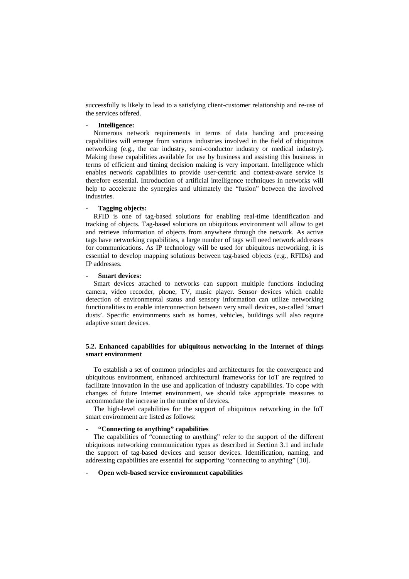successfully is likely to lead to a satisfying client-customer relationship and re-use of the services offered.

### - **Intelligence:**

Numerous network requirements in terms of data handing and processing capabilities will emerge from various industries involved in the field of ubiquitous networking (e.g., the car industry, semi-conductor industry or medical industry). Making these capabilities available for use by business and assisting this business in terms of efficient and timing decision making is very important. Intelligence which enables network capabilities to provide user-centric and context-aware service is therefore essential. Introduction of artificial intelligence techniques in networks will help to accelerate the synergies and ultimately the "fusion" between the involved industries.

# - **Tagging objects:**

RFID is one of tag-based solutions for enabling real-time identification and tracking of objects. Tag-based solutions on ubiquitous environment will allow to get and retrieve information of objects from anywhere through the network. As active tags have networking capabilities, a large number of tags will need network addresses for communications. As IP technology will be used for ubiquitous networking, it is essential to develop mapping solutions between tag-based objects (e.g., RFIDs) and IP addresses.

#### - **Smart devices:**

Smart devices attached to networks can support multiple functions including camera, video recorder, phone, TV, music player. Sensor devices which enable detection of environmental status and sensory information can utilize networking functionalities to enable interconnection between very small devices, so-called 'smart dusts'. Specific environments such as homes, vehicles, buildings will also require adaptive smart devices.

### **5.2. Enhanced capabilities for ubiquitous networking in the Internet of things smart environment**

To establish a set of common principles and architectures for the convergence and ubiquitous environment, enhanced architectural frameworks for IoT are required to facilitate innovation in the use and application of industry capabilities. To cope with changes of future Internet environment, we should take appropriate measures to accommodate the increase in the number of devices.

The high-level capabilities for the support of ubiquitous networking in the IoT smart environment are listed as follows:

#### - **"Connecting to anything" capabilities**

The capabilities of "connecting to anything" refer to the support of the different ubiquitous networking communication types as described in Section 3.1 and include the support of tag-based devices and sensor devices. Identification, naming, and addressing capabilities are essential for supporting "connecting to anything" [10].

#### - **Open web-based service environment capabilities**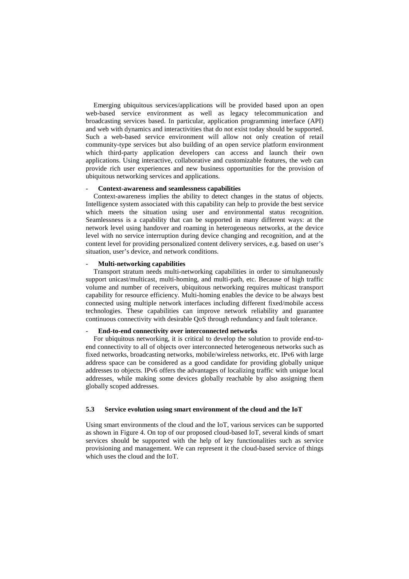Emerging ubiquitous services/applications will be provided based upon an open web-based service environment as well as legacy telecommunication and broadcasting services based. In particular, application programming interface (API) and web with dynamics and interactivities that do not exist today should be supported. Such a web-based service environment will allow not only creation of retail community-type services but also building of an open service platform environment which third-party application developers can access and launch their own applications. Using interactive, collaborative and customizable features, the web can provide rich user experiences and new business opportunities for the provision of ubiquitous networking services and applications.

#### - **Context-awareness and seamlessness capabilities**

Context-awareness implies the ability to detect changes in the status of objects. Intelligence system associated with this capability can help to provide the best service which meets the situation using user and environmental status recognition. Seamlessness is a capability that can be supported in many different ways: at the network level using handover and roaming in heterogeneous networks, at the device level with no service interruption during device changing and recognition, and at the content level for providing personalized content delivery services, e.g. based on user's situation, user's device, and network conditions.

#### - **Multi-networking capabilities**

Transport stratum needs multi-networking capabilities in order to simultaneously support unicast/multicast, multi-homing, and multi-path, etc. Because of high traffic volume and number of receivers, ubiquitous networking requires multicast transport capability for resource efficiency. Multi-homing enables the device to be always best connected using multiple network interfaces including different fixed/mobile access technologies. These capabilities can improve network reliability and guarantee continuous connectivity with desirable QoS through redundancy and fault tolerance.

#### - **End-to-end connectivity over interconnected networks**

For ubiquitous networking, it is critical to develop the solution to provide end-toend connectivity to all of objects over interconnected heterogeneous networks such as fixed networks, broadcasting networks, mobile/wireless networks, etc. IPv6 with large address space can be considered as a good candidate for providing globally unique addresses to objects. IPv6 offers the advantages of localizing traffic with unique local addresses, while making some devices globally reachable by also assigning them globally scoped addresses.

# **5.3 Service evolution using smart environment of the cloud and the IoT**

Using smart environments of the cloud and the IoT, various services can be supported as shown in Figure 4. On top of our proposed cloud-based IoT, several kinds of smart services should be supported with the help of key functionalities such as service provisioning and management. We can represent it the cloud-based service of things which uses the cloud and the IoT.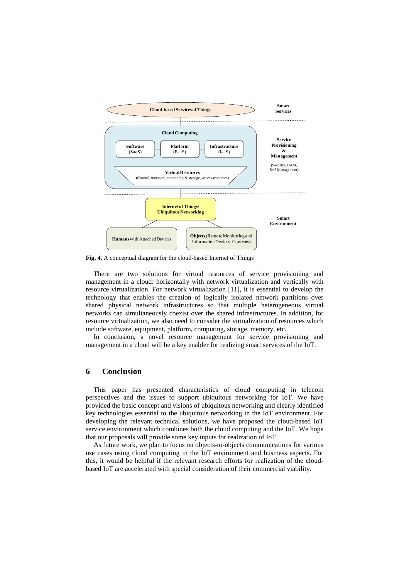

**Fig. 4.** A conceptual diagram for the cloud-based Internet of Things

There are two solutions for virtual resources of service provisioning and management in a cloud: horizontally with network virtualization and vertically with resource virtualization. For network virtualization [11], it is essential to develop the technology that enables the creation of logically isolated network partitions over shared physical network infrastructures so that multiple heterogeneous virtual networks can simultaneously coexist over the shared infrastructures. In addition, for resource virtualization, we also need to consider the virtualization of resources which include software, equipment, platform, computing, storage, memory, etc.

In conclusion, a novel resource management for service provisioning and management in a cloud will be a key enabler for realizing smart services of the IoT.

# **6 Conclusion**

This paper has presented characteristics of cloud computing in telecom perspectives and the issues to support ubiquitous networking for IoT. We have provided the basic concept and visions of ubiquitous networking and clearly identified key technologies essential to the ubiquitous networking in the IoT environment. For developing the relevant technical solutions, we have proposed the cloud-based IoT service environment which combines both the cloud computing and the IoT. We hope that our proposals will provide some key inputs for realization of IoT.

As future work, we plan to focus on objects-to-objects communications for various use cases using cloud computing in the IoT environment and business aspects. For this, it would be helpful if the relevant research efforts for realization of the cloudbased IoT are accelerated with special consideration of their commercial viability.